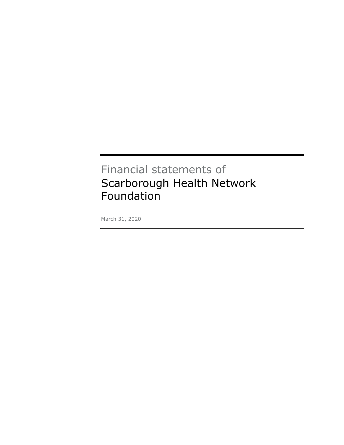# Financial statements of Scarborough Health Network Foundation

March 31, 2020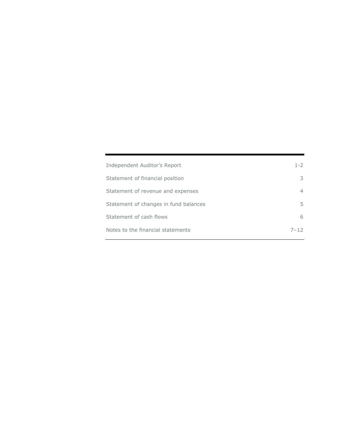| Independent Auditor's Report          | $1 - 2$  |
|---------------------------------------|----------|
| Statement of financial position       | 3        |
| Statement of revenue and expenses     | 4        |
| Statement of changes in fund balances | 5.       |
| Statement of cash flows               | 6        |
| Notes to the financial statements     | $7 - 12$ |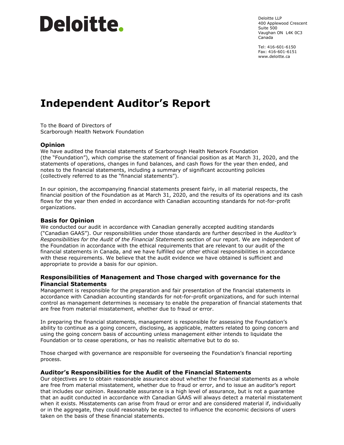# Deloitte.

Deloitte LLP 400 Applewood Crescent Suite 500 Vaughan ON L4K 0C3 Canada

Tel: 416-601-6150 Fax: 416-601-6151 www.deloitte.ca

# **Independent Auditor's Report**

To the Board of Directors of Scarborough Health Network Foundation

## **Opinion**

We have audited the financial statements of Scarborough Health Network Foundation (the "Foundation"), which comprise the statement of financial position as at March 31, 2020, and the statements of operations, changes in fund balances, and cash flows for the year then ended, and notes to the financial statements, including a summary of significant accounting policies (collectively referred to as the "financial statements").

In our opinion, the accompanying financial statements present fairly, in all material respects, the financial position of the Foundation as at March 31, 2020, and the results of its operations and its cash flows for the year then ended in accordance with Canadian accounting standards for not-for-profit organizations.

#### **Basis for Opinion**

We conducted our audit in accordance with Canadian generally accepted auditing standards ("Canadian GAAS"). Our responsibilities under those standards are further described in the *Auditor's Responsibilities for the Audit of the Financial Statements* section of our report. We are independent of the Foundation in accordance with the ethical requirements that are relevant to our audit of the financial statements in Canada, and we have fulfilled our other ethical responsibilities in accordance with these requirements. We believe that the audit evidence we have obtained is sufficient and appropriate to provide a basis for our opinion.

## **Responsibilities of Management and Those charged with governance for the Financial Statements**

Management is responsible for the preparation and fair presentation of the financial statements in accordance with Canadian accounting standards for not-for-profit organizations, and for such internal control as management determines is necessary to enable the preparation of financial statements that are free from material misstatement, whether due to fraud or error.

In preparing the financial statements, management is responsible for assessing the Foundation's ability to continue as a going concern, disclosing, as applicable, matters related to going concern and using the going concern basis of accounting unless management either intends to liquidate the Foundation or to cease operations, or has no realistic alternative but to do so.

Those charged with governance are responsible for overseeing the Foundation's financial reporting process.

#### **Auditor's Responsibilities for the Audit of the Financial Statements**

Our objectives are to obtain reasonable assurance about whether the financial statements as a whole are free from material misstatement, whether due to fraud or error, and to issue an auditor's report that includes our opinion. Reasonable assurance is a high level of assurance, but is not a guarantee that an audit conducted in accordance with Canadian GAAS will always detect a material misstatement when it exists. Misstatements can arise from fraud or error and are considered material if, individually or in the aggregate, they could reasonably be expected to influence the economic decisions of users taken on the basis of these financial statements.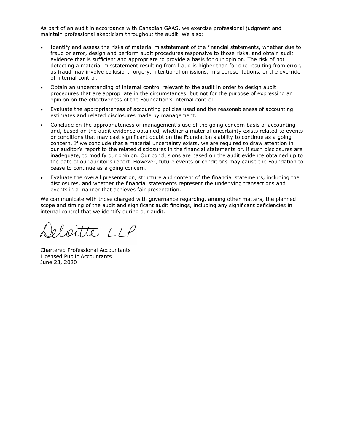As part of an audit in accordance with Canadian GAAS, we exercise professional judgment and maintain professional skepticism throughout the audit. We also:

- Identify and assess the risks of material misstatement of the financial statements, whether due to fraud or error, design and perform audit procedures responsive to those risks, and obtain audit evidence that is sufficient and appropriate to provide a basis for our opinion. The risk of not detecting a material misstatement resulting from fraud is higher than for one resulting from error, as fraud may involve collusion, forgery, intentional omissions, misrepresentations, or the override of internal control.
- Obtain an understanding of internal control relevant to the audit in order to design audit procedures that are appropriate in the circumstances, but not for the purpose of expressing an opinion on the effectiveness of the Foundation's internal control.
- Evaluate the appropriateness of accounting policies used and the reasonableness of accounting estimates and related disclosures made by management.
- Conclude on the appropriateness of management's use of the going concern basis of accounting and, based on the audit evidence obtained, whether a material uncertainty exists related to events or conditions that may cast significant doubt on the Foundation's ability to continue as a going concern. If we conclude that a material uncertainty exists, we are required to draw attention in our auditor's report to the related disclosures in the financial statements or, if such disclosures are inadequate, to modify our opinion. Our conclusions are based on the audit evidence obtained up to the date of our auditor's report. However, future events or conditions may cause the Foundation to cease to continue as a going concern.
- Evaluate the overall presentation, structure and content of the financial statements, including the disclosures, and whether the financial statements represent the underlying transactions and events in a manner that achieves fair presentation.

We communicate with those charged with governance regarding, among other matters, the planned scope and timing of the audit and significant audit findings, including any significant deficiencies in internal control that we identify during our audit.

eloitte LLP

Chartered Professional Accountants Licensed Public Accountants June 23, 2020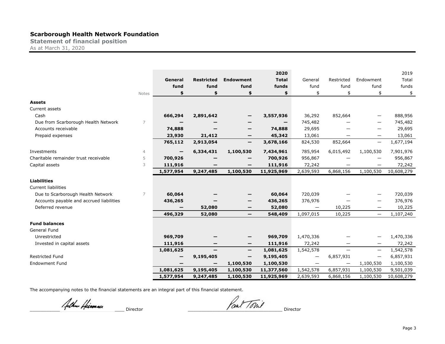**Statement of financial position** As at March 31, 2020

|                                          | Notes          | General<br>fund<br>\$ | <b>Restricted</b><br>fund<br>\$ | <b>Endowment</b><br>fund<br>\$ | 2020<br><b>Total</b><br>funds | General<br>fund<br>\$ | Restricted<br>fund<br>\$ | Endowment<br>fund<br>\$  | 2019<br>Total<br>funds<br>$\pmb{\$}$ |
|------------------------------------------|----------------|-----------------------|---------------------------------|--------------------------------|-------------------------------|-----------------------|--------------------------|--------------------------|--------------------------------------|
| <b>Assets</b>                            |                |                       |                                 |                                |                               |                       |                          |                          |                                      |
| Current assets                           |                |                       |                                 |                                |                               |                       |                          |                          |                                      |
| Cash                                     |                | 666,294               | 2,891,642                       |                                | 3,557,936                     | 36,292                | 852,664                  |                          | 888,956                              |
| Due from Scarborough Health Network      | 7              |                       |                                 |                                |                               | 745,482               |                          |                          | 745,482                              |
| Accounts receivable                      |                | 74,888                |                                 |                                | 74,888                        | 29,695                |                          |                          | 29,695                               |
| Prepaid expenses                         |                | 23,930                | 21,412                          |                                | 45,342                        | 13,061                |                          |                          | 13,061                               |
|                                          |                | 765,112               | 2,913,054                       | -                              | 3,678,166                     | 824,530               | 852,664                  | $\overline{\phantom{m}}$ | 1,677,194                            |
| Investments                              | $\overline{4}$ | $\qquad \qquad -$     | 6,334,431                       | 1,100,530                      | 7,434,961                     | 785,954               | 6,015,492                | 1,100,530                | 7,901,976                            |
| Charitable remainder trust receivable    | 5              | 700,926               |                                 |                                | 700,926                       | 956,867               |                          |                          | 956,867                              |
| Capital assets                           | 3              | 111,916               |                                 |                                | 111,916                       | 72,242                |                          |                          | 72,242                               |
|                                          |                | 1,577,954             | 9,247,485                       | 1,100,530                      | 11,925,969                    | 2,639,593             | 6,868,156                | 1,100,530                | 10,608,279                           |
| <b>Liabilities</b>                       |                |                       |                                 |                                |                               |                       |                          |                          |                                      |
| <b>Current liabilities</b>               |                |                       |                                 |                                |                               |                       |                          |                          |                                      |
| Due to Scarborough Health Network        | $\overline{7}$ | 60,064                |                                 |                                | 60,064                        | 720,039               |                          |                          | 720,039                              |
| Accounts payable and accrued liabilities |                | 436,265               |                                 |                                | 436,265                       | 376,976               |                          |                          | 376,976                              |
| Deferred revenue                         |                |                       | 52,080                          |                                | 52,080                        |                       | 10,225                   |                          | 10,225                               |
|                                          |                | 496,329               | 52,080                          | $\qquad \qquad -$              | 548,409                       | 1,097,015             | 10,225                   | $\qquad \qquad -$        | 1,107,240                            |
| <b>Fund balances</b>                     |                |                       |                                 |                                |                               |                       |                          |                          |                                      |
| <b>General Fund</b>                      |                |                       |                                 |                                |                               |                       |                          |                          |                                      |
| Unrestricted                             |                | 969,709               |                                 |                                | 969,709                       | 1,470,336             |                          |                          | 1,470,336                            |
| Invested in capital assets               |                | 111,916               | -                               | $\qquad \qquad -$              | 111,916                       | 72,242                |                          |                          | 72,242                               |
|                                          |                | 1,081,625             | $\qquad \qquad -$               | -                              | 1,081,625                     | 1,542,578             | $\overline{\phantom{0}}$ | $\overline{\phantom{0}}$ | 1,542,578                            |
| <b>Restricted Fund</b>                   |                | $\qquad \qquad$       | 9,195,405                       | $\qquad \qquad$                | 9,195,405                     | $\qquad \qquad$       | 6,857,931                | $\overline{\phantom{m}}$ | 6,857,931                            |
| <b>Endowment Fund</b>                    |                |                       | —                               | 1,100,530                      | 1,100,530                     |                       |                          | 1,100,530                | 1,100,530                            |
|                                          |                | 1,081,625             | 9,195,405                       | 1,100,530                      | 11,377,560                    | 1,542,578             | 6,857,931                | 1,100,530                | 9,501,039                            |
|                                          |                | 1,577,954             | 9,247,485                       | 1,100,530                      | 11,925,969                    | 2,639,593             | 6,868,156                | 1,100,530                | 10,608,279                           |

Acthur Heinman Director Director Paul Tomi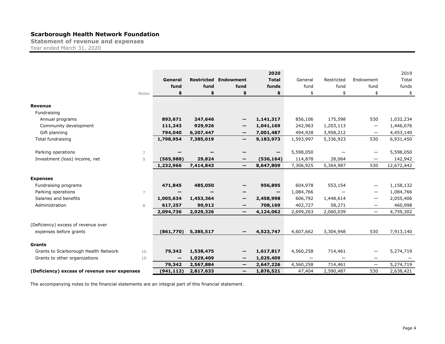**Statement of revenue and expenses** Year ended March 31, 2020

|                                              | Notes          | General<br>fund<br>\$ | <b>Restricted</b><br>fund<br>\$ | Endowment<br>fund<br>\$  | 2020<br><b>Total</b><br>funds<br>\$ | General<br>fund<br>\$ | Restricted<br>fund<br>\$ | Endowment<br>fund<br>\$  | 2019<br>Total<br>funds<br>\$ |
|----------------------------------------------|----------------|-----------------------|---------------------------------|--------------------------|-------------------------------------|-----------------------|--------------------------|--------------------------|------------------------------|
| Revenue                                      |                |                       |                                 |                          |                                     |                       |                          |                          |                              |
| Fundraising                                  |                |                       |                                 |                          |                                     |                       |                          |                          |                              |
| Annual programs                              |                | 893,671               | 247,646                         | $\qquad \qquad$          | 1,141,317                           | 856,106               | 175,598                  | 530                      | 1,032,234                    |
| Community development                        |                | 111,243               | 929,926                         | $\qquad \qquad$          | 1,041,169                           | 242,963               | 1,203,113                | $\overline{\phantom{0}}$ | 1,446,076                    |
| Gift planning                                |                | 794,040               | 6,207,447                       | $\qquad \qquad$          | 7,001,487                           | 494,928               | 3,958,212                | $\overline{\phantom{0}}$ | 4,453,140                    |
| Total fundraising                            |                | 1,798,954             | 7,385,019                       | $\qquad \qquad -$        | 9,183,973                           | 1,593,997             | 5,336,923                | 530                      | 6,931,450                    |
|                                              |                |                       |                                 |                          |                                     |                       |                          |                          |                              |
| Parking operations                           | $\overline{7}$ |                       |                                 |                          |                                     | 5,598,050             |                          |                          | 5,598,050                    |
| Investment (loss) income, net                | 9              | (565, 988)            | 29,824                          |                          | (536, 164)                          | 114,878               | 28,064                   |                          | 142,942                      |
|                                              |                | 1,232,966             | 7,414,843                       | $\qquad \qquad -$        | 8,647,809                           | 7,306,925             | 5,364,987                | 530                      | 12,672,442                   |
|                                              |                |                       |                                 |                          |                                     |                       |                          |                          |                              |
| <b>Expenses</b>                              |                |                       |                                 |                          |                                     |                       |                          |                          |                              |
| Fundraising programs                         |                | 471,845               | 485,050                         | $\overline{\phantom{m}}$ | 956,895                             | 604,978               | 553,154                  | $\overline{\phantom{0}}$ | 1,158,132                    |
| Parking operations                           | $\overline{7}$ |                       |                                 |                          |                                     | 1,084,766             |                          |                          | 1,084,766                    |
| Salaries and benefits                        |                | 1,005,634             | 1,453,364                       | -                        | 2,458,998                           | 606,792               | 1,448,614                | $\overline{\phantom{0}}$ | 2,055,406                    |
| Administration                               | 8              | 617,257               | 90,912                          | $\overline{\phantom{m}}$ | 708,169                             | 402,727               | 58,271                   | $\qquad \qquad$          | 460,998                      |
|                                              |                | 2,094,736             | 2,029,326                       | $\qquad \qquad -$        | 4,124,062                           | 2,699,263             | 2,060,039                | $\qquad \qquad -$        | 4,759,302                    |
| (Deficiency) excess of revenue over          |                |                       |                                 |                          |                                     |                       |                          |                          |                              |
| expenses before grants                       |                | (861,770)             | 5,385,517                       |                          | 4,523,747                           | 4,607,662             | 3,304,948                | 530                      | 7,913,140                    |
|                                              |                |                       |                                 |                          |                                     |                       |                          |                          |                              |
| Grants                                       |                |                       |                                 |                          |                                     |                       |                          |                          |                              |
| Grants to Scarborough Health Network         | 10             | 79,342                | 1,538,475                       | $\overline{\phantom{0}}$ | 1,617,817                           | 4,560,258             | 714,461                  |                          | 5,274,719                    |
| Grants to other organizations                | 10             | —                     | 1,029,409                       | $\overline{\phantom{m}}$ | 1,029,409                           |                       |                          | $\qquad \qquad -$        |                              |
|                                              |                | 79,342                | 2,567,884                       | $\overline{\phantom{m}}$ | 2,647,226                           | 4,560,258             | 714,461                  | $\qquad \qquad -$        | 5,274,719                    |
| (Deficiency) excess of revenue over expenses |                | (941, 112)            | 2,817,633                       | $\qquad \qquad -$        | 1,876,521                           | 47,404                | 2,590,487                | 530                      | 2,638,421                    |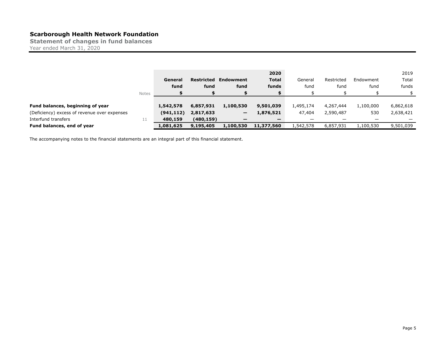**Statement of changes in fund balances** Year ended March 31, 2020

|                                                                                                         | <b>Notes</b> | General<br>fund                    | Restricted<br>fund                   | <b>Endowment</b><br>fund                   | 2020<br><b>Total</b><br>funds | General<br>fund     | Restricted<br>fund     | Endowment<br>fund | 2019<br>Total<br>funds |
|---------------------------------------------------------------------------------------------------------|--------------|------------------------------------|--------------------------------------|--------------------------------------------|-------------------------------|---------------------|------------------------|-------------------|------------------------|
| Fund balances, beginning of year<br>(Deficiency) excess of revenue over expenses<br>Interfund transfers | 11           | 1,542,578<br>(941, 112)<br>480,159 | 6,857,931<br>2,817,633<br>(480, 159) | 1,100,530<br>$\overline{\phantom{m}}$<br>– | 9,501,039<br>1,876,521        | 1,495,174<br>47,404 | 4,267,444<br>2,590,487 | 1,100,000<br>530  | 6,862,618<br>2,638,421 |
| Fund balances, end of year                                                                              |              | 1,081,625                          | 9,195,405                            | 1,100,530                                  | 11,377,560                    | 1,542,578           | 6,857,931              | 1,100,530         | 9,501,039              |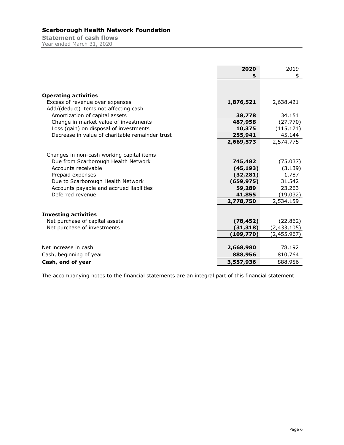**Statement of cash flows** Year ended March 31, 2020

|                                                                          | 2020<br>S  | 2019<br>\$         |
|--------------------------------------------------------------------------|------------|--------------------|
|                                                                          |            |                    |
| <b>Operating activities</b>                                              |            |                    |
| Excess of revenue over expenses<br>Add/(deduct) items not affecting cash | 1,876,521  | 2,638,421          |
| Amortization of capital assets                                           | 38,778     | 34,151             |
| Change in market value of investments                                    | 487,958    | (27, 770)          |
| Loss (gain) on disposal of investments                                   | 10,375     | (115, 171)         |
| Decrease in value of charitable remainder trust                          | 255,941    | 45,144             |
|                                                                          | 2,669,573  | 2,574,775          |
|                                                                          |            |                    |
| Changes in non-cash working capital items                                |            |                    |
| Due from Scarborough Health Network                                      | 745,482    | (75, 037)          |
| Accounts receivable                                                      | (45, 193)  | (3, 139)           |
| Prepaid expenses                                                         | (32, 281)  | 1,787              |
| Due to Scarborough Health Network                                        | (659, 975) | 31,542             |
| Accounts payable and accrued liabilities                                 | 59,289     | 23,263             |
| Deferred revenue                                                         | 41,855     | (19,032)           |
|                                                                          | 2,778,750  | 2,534,159          |
| <b>Investing activities</b>                                              |            |                    |
| Net purchase of capital assets                                           | (78, 452)  | (22, 862)          |
| Net purchase of investments                                              | (31, 318)  | (2, 433, 105)      |
|                                                                          | (109, 770) | <u>(2,455,967)</u> |
|                                                                          |            |                    |
| Net increase in cash                                                     | 2,668,980  | 78,192             |
| Cash, beginning of year                                                  | 888,956    | 810,764            |
| Cash, end of year                                                        | 3,557,936  | 888,956            |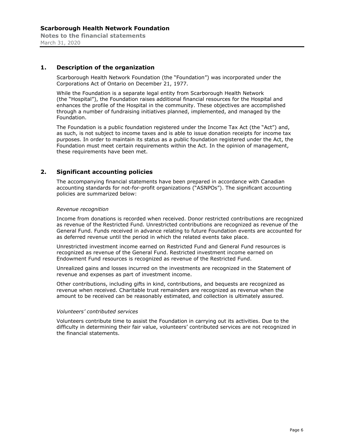## **1. Description of the organization**

Scarborough Health Network Foundation (the "Foundation") was incorporated under the Corporations Act of Ontario on December 21, 1977.

While the Foundation is a separate legal entity from Scarborough Health Network (the "Hospital"), the Foundation raises additional financial resources for the Hospital and enhances the profile of the Hospital in the community. These objectives are accomplished through a number of fundraising initiatives planned, implemented, and managed by the Foundation.

The Foundation is a public foundation registered under the Income Tax Act (the "Act") and, as such, is not subject to income taxes and is able to issue donation receipts for income tax purposes. In order to maintain its status as a public foundation registered under the Act, the Foundation must meet certain requirements within the Act. In the opinion of management, these requirements have been met.

## **2. Significant accounting policies**

The accompanying financial statements have been prepared in accordance with Canadian accounting standards for not-for-profit organizations ("ASNPOs"). The significant accounting policies are summarized below:

#### *Revenue recognition*

Income from donations is recorded when received. Donor restricted contributions are recognized as revenue of the Restricted Fund. Unrestricted contributions are recognized as revenue of the General Fund. Funds received in advance relating to future Foundation events are accounted for as deferred revenue until the period in which the related events take place.

Unrestricted investment income earned on Restricted Fund and General Fund resources is recognized as revenue of the General Fund. Restricted investment income earned on Endowment Fund resources is recognized as revenue of the Restricted Fund.

Unrealized gains and losses incurred on the investments are recognized in the Statement of revenue and expenses as part of investment income.

Other contributions, including gifts in kind, contributions, and bequests are recognized as revenue when received. Charitable trust remainders are recognized as revenue when the amount to be received can be reasonably estimated, and collection is ultimately assured.

#### *Volunteers' contributed services*

Volunteers contribute time to assist the Foundation in carrying out its activities. Due to the difficulty in determining their fair value, volunteers' contributed services are not recognized in the financial statements.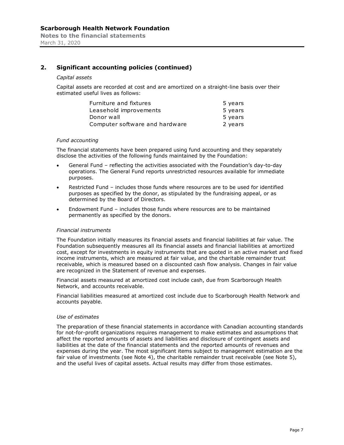# **2. Significant accounting policies (continued)**

#### *Capital assets*

Capital assets are recorded at cost and are amortized on a straight-line basis over their estimated useful lives as follows:

| Furniture and fixtures         | 5 years |
|--------------------------------|---------|
| Leasehold improvements         | 5 years |
| Donor wall                     | 5 years |
| Computer software and hardware | 2 years |

#### *Fund accounting*

The financial statements have been prepared using fund accounting and they separately disclose the activities of the following funds maintained by the Foundation:

- General Fund reflecting the activities associated with the Foundation's day-to-day operations. The General Fund reports unrestricted resources available for immediate purposes.
- Restricted Fund includes those funds where resources are to be used for identified purposes as specified by the donor, as stipulated by the fundraising appeal, or as determined by the Board of Directors.
- Endowment Fund includes those funds where resources are to be maintained permanently as specified by the donors.

#### *Financial instruments*

The Foundation initially measures its financial assets and financial liabilities at fair value. The Foundation subsequently measures all its financial assets and financial liabilities at amortized cost, except for investments in equity instruments that are quoted in an active market and fixed income instruments, which are measured at fair value, and the charitable remainder trust receivable, which is measured based on a discounted cash flow analysis. Changes in fair value are recognized in the Statement of revenue and expenses.

Financial assets measured at amortized cost include cash, due from Scarborough Health Network, and accounts receivable.

Financial liabilities measured at amortized cost include due to Scarborough Health Network and accounts payable.

#### *Use of estimates*

The preparation of these financial statements in accordance with Canadian accounting standards for not-for-profit organizations requires management to make estimates and assumptions that affect the reported amounts of assets and liabilities and disclosure of contingent assets and liabilities at the date of the financial statements and the reported amounts of revenues and expenses during the year. The most significant items subject to management estimation are the fair value of investments (see Note 4), the charitable remainder trust receivable (see Note 5), and the useful lives of capital assets. Actual results may differ from those estimates.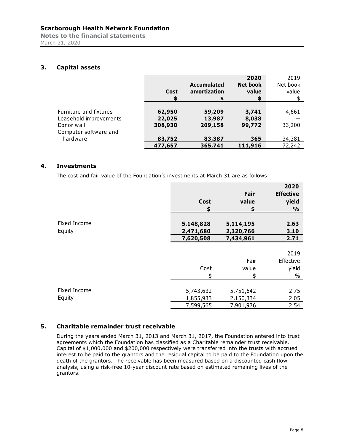**Notes to the financial statements**  March 31, 2020

# **3. Capital assets**

|                                                                | Cost                        | <b>Accumulated</b><br>amortization | 2020<br><b>Net book</b><br>value | 2019<br>Net book<br>value |
|----------------------------------------------------------------|-----------------------------|------------------------------------|----------------------------------|---------------------------|
| Furniture and fixtures<br>Leasehold improvements<br>Donor wall | 62,950<br>22,025<br>308,930 | 59,209<br>13,987<br>209,158        | 3,741<br>8,038<br>99,772         | 4,661<br>33,200           |
| Computer software and<br>hardware                              | 83,752<br>477,657           | 83,387<br>365,741                  | 365<br>111,916                   | 34,381<br>72,242          |

# **4. Investments**

The cost and fair value of the Foundation's investments at March 31 are as follows:

|              |             |           | 2020             |
|--------------|-------------|-----------|------------------|
|              |             | Fair      | <b>Effective</b> |
|              | <b>Cost</b> | value     | yield            |
|              | \$          | S         | $\frac{1}{2}$    |
|              |             |           |                  |
| Fixed Income | 5,148,828   | 5,114,195 | 2.63             |
| Equity       | 2,471,680   | 2,320,766 | 3.10             |
|              | 7,620,508   | 7,434,961 | 2.71             |
|              |             |           |                  |
|              |             |           | 2019             |
|              |             | Fair      | Effective        |
|              | Cost        | value     | yield            |
|              | \$          | \$        | $\%$             |
|              |             |           |                  |
| Fixed Income | 5,743,632   | 5,751,642 | 2.75             |
| Equity       | 1,855,933   | 2,150,334 | 2.05             |
|              | 7,599,565   | 7,901,976 | 2.54             |

# **5. Charitable remainder trust receivable**

During the years ended March 31, 2013 and March 31, 2017, the Foundation entered into trust agreements which the Foundation has classified as a Charitable remainder trust receivable. Capital of \$1,000,000 and \$200,000 respectively were transferred into the trusts with accrued interest to be paid to the grantors and the residual capital to be paid to the Foundation upon the death of the grantors. The receivable has been measured based on a discounted cash flow analysis, using a risk-free 10-year discount rate based on estimated remaining lives of the grantors.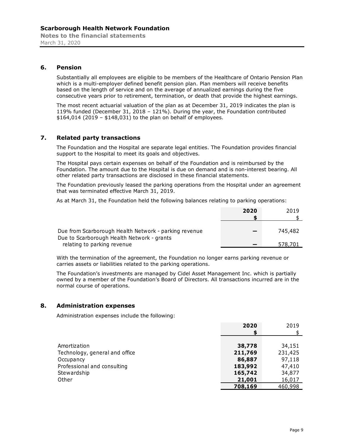#### **6. Pension**

Substantially all employees are eligible to be members of the Healthcare of Ontario Pension Plan which is a multi-employer defined benefit pension plan. Plan members will receive benefits based on the length of service and on the average of annualized earnings during the five consecutive years prior to retirement, termination, or death that provide the highest earnings.

The most recent actuarial valuation of the plan as at December 31, 2019 indicates the plan is 119% funded (December 31, 2018 – 121%). During the year, the Foundation contributed \$164,014 (2019 – \$148,031) to the plan on behalf of employees.

# **7. Related party transactions**

The Foundation and the Hospital are separate legal entities. The Foundation provides financial support to the Hospital to meet its goals and objectives.

The Hospital pays certain expenses on behalf of the Foundation and is reimbursed by the Foundation. The amount due to the Hospital is due on demand and is non-interest bearing. All other related party transactions are disclosed in these financial statements.

The Foundation previously leased the parking operations from the Hospital under an agreement that was terminated effective March 31, 2019.

As at March 31, the Foundation held the following balances relating to parking operations:

|                                                                                                     | 2020 | 2019    |
|-----------------------------------------------------------------------------------------------------|------|---------|
| Due from Scarborough Health Network - parking revenue<br>Due to Scarborough Health Network - grants |      | 745.482 |
| relating to parking revenue                                                                         |      | 578.701 |

With the termination of the agreement, the Foundation no longer earns parking revenue or carries assets or liabilities related to the parking operations.

The Foundation's investments are managed by Cidel Asset Management Inc. which is partially owned by a member of the Foundation's Board of Directors. All transactions incurred are in the normal course of operations.

#### **8. Administration expenses**

Administration expenses include the following:

|                                | 2020    | 2019    |
|--------------------------------|---------|---------|
|                                | \$      |         |
|                                |         |         |
| Amortization                   | 38,778  | 34,151  |
| Technology, general and office | 211,769 | 231,425 |
| Occupancy                      | 86,887  | 97,118  |
| Professional and consulting    | 183,992 | 47,410  |
| Stewardship                    | 165,742 | 34,877  |
| Other                          | 21,001  | 16,017  |
|                                | 708,169 | 460,998 |
|                                |         |         |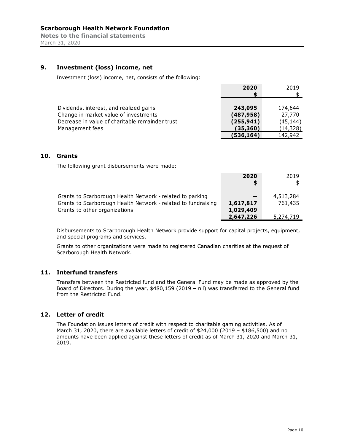# **9. Investment (loss) income, net**

Investment (loss) income, net, consists of the following:

|                                                 | 2020       | 2019      |
|-------------------------------------------------|------------|-----------|
|                                                 |            |           |
|                                                 |            |           |
| Dividends, interest, and realized gains         | 243,095    | 174,644   |
| Change in market value of investments           | (487, 958) | 27,770    |
| Decrease in value of charitable remainder trust | (255, 941) | (45, 144) |
| Management fees                                 | (35, 360)  | (14, 328) |
|                                                 | (536,164)  | 142,942   |

# **10. Grants**

The following grant disbursements were made:

|                                                               | 2020      | 2019      |
|---------------------------------------------------------------|-----------|-----------|
| Grants to Scarborough Health Network - related to parking     | 1,617,817 | 4,513,284 |
| Grants to Scarborough Health Network - related to fundraising | 1,029,409 | 761,435   |
| Grants to other organizations                                 | 2,647,226 | 5,274,719 |

Disbursements to Scarborough Health Network provide support for capital projects, equipment, and special programs and services.

Grants to other organizations were made to registered Canadian charities at the request of Scarborough Health Network.

# **11. Interfund transfers**

Transfers between the Restricted fund and the General Fund may be made as approved by the Board of Directors. During the year, \$480,159 (2019 – nil) was transferred to the General fund from the Restricted Fund.

# **12. Letter of credit**

The Foundation issues letters of credit with respect to charitable gaming activities. As of March 31, 2020, there are available letters of credit of  $$24,000$  (2019 –  $$186,500$ ) and no amounts have been applied against these letters of credit as of March 31, 2020 and March 31, 2019.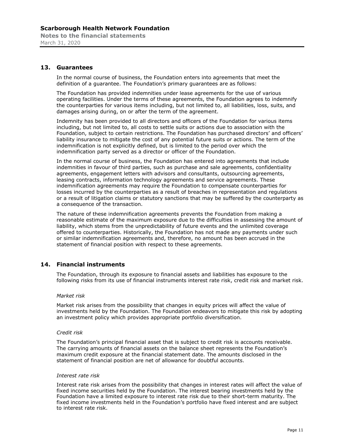#### **13. Guarantees**

In the normal course of business, the Foundation enters into agreements that meet the definition of a guarantee. The Foundation's primary guarantees are as follows:

The Foundation has provided indemnities under lease agreements for the use of various operating facilities. Under the terms of these agreements, the Foundation agrees to indemnify the counterparties for various items including, but not limited to, all liabilities, loss, suits, and damages arising during, on or after the term of the agreement.

Indemnity has been provided to all directors and officers of the Foundation for various items including, but not limited to, all costs to settle suits or actions due to association with the Foundation, subject to certain restrictions. The Foundation has purchased directors' and officers' liability insurance to mitigate the cost of any potential future suits or actions. The term of the indemnification is not explicitly defined, but is limited to the period over which the indemnification party served as a director or officer of the Foundation.

In the normal course of business, the Foundation has entered into agreements that include indemnities in favour of third parties, such as purchase and sale agreements, confidentiality agreements, engagement letters with advisors and consultants, outsourcing agreements, leasing contracts, information technology agreements and service agreements. These indemnification agreements may require the Foundation to compensate counterparties for losses incurred by the counterparties as a result of breaches in representation and regulations or a result of litigation claims or statutory sanctions that may be suffered by the counterparty as a consequence of the transaction.

The nature of these indemnification agreements prevents the Foundation from making a reasonable estimate of the maximum exposure due to the difficulties in assessing the amount of liability, which stems from the unpredictability of future events and the unlimited coverage offered to counterparties. Historically, the Foundation has not made any payments under such or similar indemnification agreements and, therefore, no amount has been accrued in the statement of financial position with respect to these agreements.

# **14. Financial instruments**

The Foundation, through its exposure to financial assets and liabilities has exposure to the following risks from its use of financial instruments interest rate risk, credit risk and market risk.

#### *Market risk*

Market risk arises from the possibility that changes in equity prices will affect the value of investments held by the Foundation. The Foundation endeavors to mitigate this risk by adopting an investment policy which provides appropriate portfolio diversification.

#### *Credit risk*

The Foundation's principal financial asset that is subject to credit risk is accounts receivable. The carrying amounts of financial assets on the balance sheet represents the Foundation's maximum credit exposure at the financial statement date. The amounts disclosed in the statement of financial position are net of allowance for doubtful accounts.

#### *Interest rate risk*

Interest rate risk arises from the possibility that changes in interest rates will affect the value of fixed income securities held by the Foundation. The interest bearing investments held by the Foundation have a limited exposure to interest rate risk due to their short-term maturity. The fixed income investments held in the Foundation's portfolio have fixed interest and are subject to interest rate risk.